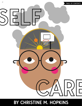

# **BY CHRISTINE M. HOPKINS**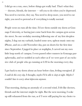I did go on a run, once, before things got really bad. That's what they — doctors, friends, the internet — tell you to do when you're depressed. You need to exercise, they say. You need to sleep more, you need to eat right, you need to pretend as if everything is totally normal.

People went on runs all the time. I'd see them outside my dorm at Gonzaga University, or having just come back from the campus gym across the street. So one weekday morning following one of my first sleepless nights, I dug out my earbuds, loaded some new, upbeat music onto my iPhone, and on a cold November day, put on shorts for the first time since September. I jogged in place at stoplights, I carved out my own little loop north of campus. I even passed other runners in Gonzaga paraphernalia, and we nodded at each other as if we were part of an exclusive club of people who go running at 6:30 in the morning every day.

I got back to my dorm about an hour before class, feeling energized. *If I could do this every day,* I thought, *maybe I'd be able to sleep at night. Maybe I wouldn't have to worry about depression anymore.*

That morning, during an anomaly of a second wind, I felt like doctors, friends and the internet might be right. But the next morning, I woke up still exhausted from the run, as if I were still paying for my choice to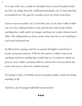try to get well. I ate a cookie for breakfast from a box I'd stashed under my bed, my refuge from the cardboard and plastic city of trash that had accumulated over the past few months across my dorm room foor.

I never went on another run. I exercised, sure, in my short walks to Safeway over the coming months to buy granola bars and energy drinks, anything that could satisfy my hunger and keep me awake without much effort. The dining hall was closer, much closer, but the act of traveling to each meal exhausted me.

As fall turned to spring, and the occasional all-nighter turned into a nearly nocturnal existence, I fell into the pattern. I didn't want to do anything, much less *anything* that would help me. I wanted to subsist on grocery store cookies and pizza delivery and not live between those moments, but lean on them for comfort instead.

Not going to class, eventually, meant not going outside, meant not doing anything at all.

And then, the Gonzaga basketball season started.

#### **\*\*\***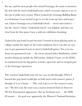For me, and for most people who attend Gonzaga, the name is inextricably tied with the men's basketball team, which everyone expects to see at the top of polls every season. When I joined the Gonzaga Bulldog Band as a freshman, I was excited to get to see the team up close and in-person. I knew Gonzaga was a basketball school — men's *and* women's but the "men's" before "basketball school" was implied, and that was clear from the frst game I saw, a sold-out exhibition thrashing.

I joined the pep band in part because I wanted to keep playing music in college outside the rigors of the wind symphony, but it was also an easy way to get guaranteed seats at (men's) basketball games. Not even students are guaranteed seats — the circus around ticket distribution, which involves lining up outside the McCarthey Athletic Center (or the MAC) in numbered tents for big games, is both a spectacle and an integral part of the Gonzaga experience.

The women's basketball team, for me, was an afterthought. When I learned the pep band would play at both men's and women's games, I thought of it as a bonus — "Oh, cool, I get to see the women's team, too." My first year, the team was a season removed from its first-ever NCAA Tournament appearance. For my freshman year — the 2008- 09 season — the goal was, apparently, the Women's National Invitation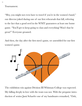<span id="page-4-0"></span>Tournament.

"Hey, you might not even have to travel if you're in the women's band," our director joked during one of our frst rehearsals that fall, referring to the fact that a good seed in the WNIT guarantees at least one home game. "You'll get to keep going to class and everything! Won't that be great?" Everyone groaned.

And then, the day after the first men's game, we assembled for our first women's game.



The exhibition win against Division III Whitman College was expected. My falling deeply in love with the team was not. With the pregame introduction of senior Jami Schaefer one of my bandmates remarked, "Ooh,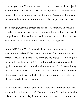someone got *married!"* Another shared the story of how the former Jami Bjorklund and her husband, Drew, met in high school. I was amazed to discover that people not only got into the women's games with the same intensity as the men's, but knew about the players' personal lives, too.

Soon enough, women's games were my go-to destination. They had a friendlier atmosphere than the men's games without dulling any edge of competitiveness. The fandom wasn't driven by years of national success, so it felt like all of us were building something new together.

Future NCAA and WNBA recordholder Courtney Vandersloot, then a sophomore, had established herself as a force. During one game that season, she was fouled hard while driving to the basket — something she did a lot despite being just 5'8'' — and when she didn't immediately get up, the arena went silent. In such an intimate space, 2,400 people losing their voices all at once is eerie. A few moments later, Vandersloot waved off the trainer and went to the free throw line where she sank both shots. She was already the engine of the team.

"You should try a women's game next," I told my roommate after she'd attended her first men's game. "Way more low-key. No waiting in line for tickets. The band are, like, the only students there. And the team is just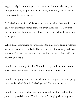as good." My fandom morphed into stringent feminist advocacy, and though not many people took me up on my invitation, I still felt more empowered for suggesting it.

Basketball was my first official Gonzaga activity when I returned to campus a day early from winter break to play at the men's WCC opener. Before tipoff, my bandmates and I tried our best to follow the women's away game.

When the academic side of spring semester hit, I started missing classes, staying in bed all day. Basketball became less of a fun activity and more a means of survival — the one thing keeping me tied to the world outside my own head.

I'd ruled out running after that November day, but the trek across the street to the McCarthey Athletic Center? I could handle that.

I'd ruled out going to many of my classes, but being around other people on a regular schedule at basketball games? Obviously worth it.

I'd ruled out doing much of anything besides lying down in bed, but jumping up and down to "Zombie Nation," clapping vigorously for a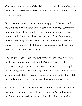Vandersloot 3-pointer or a Vivian Frieson double-double, then laughing and waving as Frieson ran over to pretend to direct the band? Obviously, *obviously* worth it.

Going to these games wasn't just about being part of the pep band anymore, but feeling like a valued yet sly part of the Gonzaga community. You know the inside info you learn once you're on campus, the list of things to do before you graduate that one couldn't get from reading a brochure or looking at the website? That's what women's basketball games were to me. I felt like I'd earned my place as a Zag by steeping myself in this lesser-known universe.

Attending these games gave me purpose when I didn't feel like I had much, especially as I struggled with the "student" part of college. The fact that I could perform some much-needed self-care — briefy going outside, being around people, getting some cardio for a couple of hours, sticking to a schedule — without expending the impossible effort of taking a walk or intentionally making social plans, was my salvation.

But when the NCAA Tournament rolled around, I had to reckon with my waning academics. I made the cut to travel to Portland with the men's tournament band, but by then I knew I couldn't attend either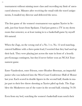tournament without missing more class and exceeding my limit of unexcused absences. Minutes after receiving the email with the travel assignments, I emailed my director and delivered the news.

The first game of the women's tournament was against Xavier in Seattle, just four hours from Spokane. I had just gotten a TV in my dorm room that semester, so at least tuning in to a basketball game by myself felt natural.

When the Zags, on the wrong end of a No. 5 vs. No. 12 seed matchup, entered halftime with a three-point lead, I worried that they had used up their luck. They were playing just across the state in front of a heavily pro-Gonzaga contingent, but they'd never before won an NCAA Tournament game.

Enter Vandersloot, enter Frieson, enter Heather Bowman, an impactful junior who was inducted into the West Coast Conference Hall of Honor last year. Each scored in double figures in the second half, thanks in major part to their free throw shooting as Xavier piled up fouls. The Zags blew the Musketeers out of the water in the second half, winning 74-59.

Even from my bed, watching the women's basketball team notch their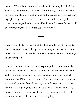first-ever NCAA Tournament win made me feel secure, like I had found something I could give all of myself to. Putting myself out there physically, emotionally and mentally, watching the team succeed and celebrating right along with them, felt worth it. At nearly 10 p.m., I pulled out some homework, suddenly motivated by the team's success. If they could pull off this win, surely I could salvage my semester.

#### **\*\*\***

I can't blame the lack of basketball for the sharp decline of my mental health that April; basketball kept me afloat longer than my chemically imbalanced brain had intended. But when the season ended, I no longer had anything to do.

I met with a classmate several times to put together a presentation for our poetry course, but I woke up an hour into the class when we were slotted to present. I reached out to my psychology professor and let her know what I'd been going through. She went above and beyond to accommodate me so I could keep up, even as I missed her class more and more. I stopped going to my philosophy class, which I had always disliked. I withdrew from three of my 18 credits, hoping that a small amount of relief would fx something — anything.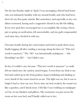On the last Sunday night of April, I was messaging a friend back home who was intimately familiar with my mental health, and who had been there for my first panic attacks. But sometimes, and especially as my condition worsened, having such a supportive friend in my life felt stifing. Every new goal they encouraged me to accomplish, like seeing a therapist or going on medication, felt unreachable, and my guilt compounded each time they checked in with me.

I became hostile during the conversation and tried to push them away, finally logging off after sending a message along the lines of, "This isn't worth it anymore." The "*this*" was intentionally ambiguous — this friendship? my life? — but I didn't care.

In fact, I couldn't care, because "This isn't worth it anymore" so easily left my mind once the anxiety attack began. I went from my desk to my bed and curled up in the fetal position, hyperventilating and shaking as every detail of the room closed in on me. The light was on, but it was so bright I had to close my eyes. Every time my bed creaked, the sound was like a gunshot, and I shook more. I felt like I was writhing on sandpaper as I lay on my blankets and pillows. My roommate was just across the room on her own bed, and I fnally called out to her.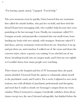"I'm having a panic attack," I gasped. "I need help."

The next moments went by quickly. I later learned that my roommate frst called the suicide hotline, who put her on hold, and then tried the friend I'd just been messaging with, who couldn't help because they were panicking at the last message I sent. Finally, my roommate called 911. Campus security and paramedics crammed into our small room, bombarding my brain with new stimuli, with strangers. Someone asked if I had shoes, and my roommate retrieved them for me. Somehow I sat up and put them on, and somehow I walked out of the room and down the concrete stairs, where a gurney was waiting. I was wheeled out of my dorm, breathing heavily into an oxygen mask, and I shut my eyes tightly so I wouldn't know how many people were watching.

Three hours at the hospital and lots of IV lorazepam later, the panic attack subsided. I learned I had the option to voluntarily admit myself to the psychiatric ward, and I took it. For a week, I adjusted to new medications, met with all kinds of psychiatric professionals and therapists, and rued that I could so clearly see Gonzaga's campus from my room window. When I returned to campus, I medically withdrew from all my classes except two, the ones I deemed salvageable, but fnished below the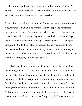credit threshold and was put on academic probation the following fall semester. I found a psychiatrist back home that summer, and we worked together to ensure I was ready to return to school.

Even as I was tossed into the tumults of a new semester, new roommates, a new residence hall, and new classes, the frst pep band rehearsals of the year centered me. The first women's basketball games, where now I was the one who knew the players' stories and what they were playing for that season, gave me mooring. I was assigned a case manager through the Student Life office to address the way my mental health intersected with my education and living situation. My case manager made me sign a behavioral contract that essentially said I wouldn't try to kill myself, something I'd never tried before.

Basketball stuck by me even as one of my medications failed, leading to a late-night trip to the hospital in October. Another medication failure soon after brought campus security to my door in the middle of the night, my terrifed and sleepy suitemates watching from their rooms as I writhed on the floor crying, seeing things that weren't there. My case manager informed me these instances violated the behavioral contract. As I sobbed in her office, trying to make her understand that adjusting poorly to psychiatric medication wasn't my fault, she informed me there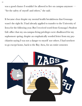was a good chance I wouldn't be allowed to live on campus anymore  $\cdot$ "for the safety of myself and others," she said.

It became clear despite my mental health breakdowns that Gonzaga wasn't the right fit. I had already applied to transfer to the University of Iowa for the following year. But I received word from Gonzaga's Student Life office that my on-campus living privileges were disallowed for my sophomore spring, despite an emphatically worded letter from my psychiatrist saying I was not a danger to myself nor others. I had nowhere to go except home, back to the Bay Area, for an entire semester.

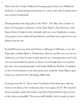Those first few weeks, I followed Gonzaga games from my childhood bedroom. I missed being in pep band, of course, but what I missed more was women's basketball.

Thank goodness the Zags play in the WCC. The Bay Area is home to three of Gonzaga's conference rivals: Saint Mary's, San Francisco and Santa Clara. I looked at the schedule with new eyes. Suddenly, so many away games were within driving distance, and that was as good as it was going to get for me.

In mid-February, my dad and I drove to Moraga, California, to see the Zags take on Saint Mary's. Vandersloot, Frieson and the rest were in my backyard, as if they'd come to play just for me. Gonzaga fans travel well, so I was surrounded by plenty of them, even though there were probably only a few hundred people total inside McKeon Pavilion. I rambled on for several minutes to my dad about how small the Saint Mary's pep band was, and how they did things diferently.

Gonzaga won 88-75. Then when I traveled to San Francisco with my mom to see them a few weeks later, they won again, 83-35. We watched from courtside, under-the-basket seats that I'd purchased to get as close to the action as possible. The arena staff initially tried to make us move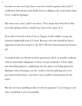because no one ever buys those seats for women's games, they said. I could hear then-head coach Kelly Graves talking to the team better than I ever could in Spokane.

My team won, twice, and I was there. They made their first Sweet Sixteen that spring, and in a small way, I got to be a part of it.

Even after I moved to Iowa City in August, I still couldn't escape the women's basketball team if I tried. Because who else should be Iowa's opponent in the first round of the 2011 NCAA Tournament but Gonzaga?

I watched with two friends in their apartment, all of us transfer students with no immediate allegiance to Iowa except academics. I dove right into describing players, explaining why the game was being played in Spokane when Gonzaga was the weaker seed (the playing sites were pre-selected back then), and why a win would be momentous for the team.

But my nervous rambling really served one purpose: I was trying to convince *myself* that a win was possible.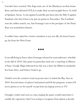I needn't have worried. The Zags took care of the Hawkeyes on their home floor, and then defeated UCLA to make their second straight Sweet 16, held at Spokane Arena. A win against Louisville put them into the Elite 8 against Stanford, who they'd lost to by just six points in November. The Cardinal won the rubber match, too, but Gonzaga's run to the precipice of the Final Four was nonetheless historic.

I couldn't have asked for a better transition to my new life, far from Gonzaga, far from the West Coast.

### **\*\*\***

I was still living in Iowa when Gonzaga released its nonconference schedule in the fall of 2018. One game in particular stuck out: a matchup at Missouri State. Google Maps informed me this was a short (by Midwest standards) fve-hour drive, and I knew I had to go.

I hadn't seen the women's team in person since it visited the Bay Area in 2010. Several classes of players had joined and left the program, women I'd never gotten to see for myself except from my laptop screen or TV.

I bought a ticket and went as a fan, hoping the game would somewhat resemble the experience that I was trying to recapture from almost a decade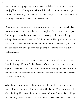past, but mentally preparing myself in case it didn't. The moment I walked into JQH Arena in Springfield, Missouri, I ran into a man in a Gonzaga hoodie who promptly saw my own Gonzaga shirt, waved, and showed me to his group. I wasn't sure why I had worried at all.

Of course, I've kept up with Gonzaga women's basketball and watched as many games as I could over the last decade-plus. This fervent ritual — part fandom, part expanding my basketball knowledge — led to my frst gigs writing about women's basketball. My intimate familiarity with and passion for a team that isn't covered much turned into work. My advocacy for women's basketball at Gonzaga, trying to get people to attend women's games, felt legitimized.

It was surreal seeing Lisa Fortier, an assistant to Graves when I was a student, in Springfield, now the head coach of the team. It was surreal seeing anything referring to Gonzaga, much less on the clothing of the fans around me, much less emblazoned on the front of women's basketball jerseys mere feet from where I sat.

When Gonzaga went into halftime with an 11-point lead over Missouri State, whose record at the time was 1-6, it felt like the WCC games of old, when the Zags blew away their competition and moved on to bigger things. But the Lady Bears came back, cutting the lead to single digits on their first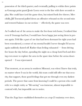possession of the third quarter, and eventually pulling to within three points as Gonzaga point guard Jessie Loera went to the line with three seconds to play. She could have iced the game then, but missed both free throws. Mercifully, Jill Townsend pulled down an offensive rebound on the second miss and restored balance in our section — efectively, the game was over.

As I walked out of the arena to make the five-hour trek home, I realized that even if Gonzaga had lost, I would have been happy just seeing them in person again. I felt like a part of me that had been dormant for eight years had been reawakened, a corner of my mental health I never thought I'd access again suddenly dusted off. Rather than feeling exhausted — from driving fve hours the day before, spending the night on a cheap hotel bed and driving even more to explore the area in the spare time before the arena doors opened — I was rejuvenated.

That moment, at an arena in southern Missouri, was when I knew that truly, no matter where I was in the world, this team could still offer me that security, that support, those good feelings that got me through even my darkest periods. The power that came from knowing I could be a person who could refer to a single entity as "life-saving" was immense, almost impossible to contend with, but impossible not to notice.

That the Zags have established themselves as a top-25 mainstay ever since,